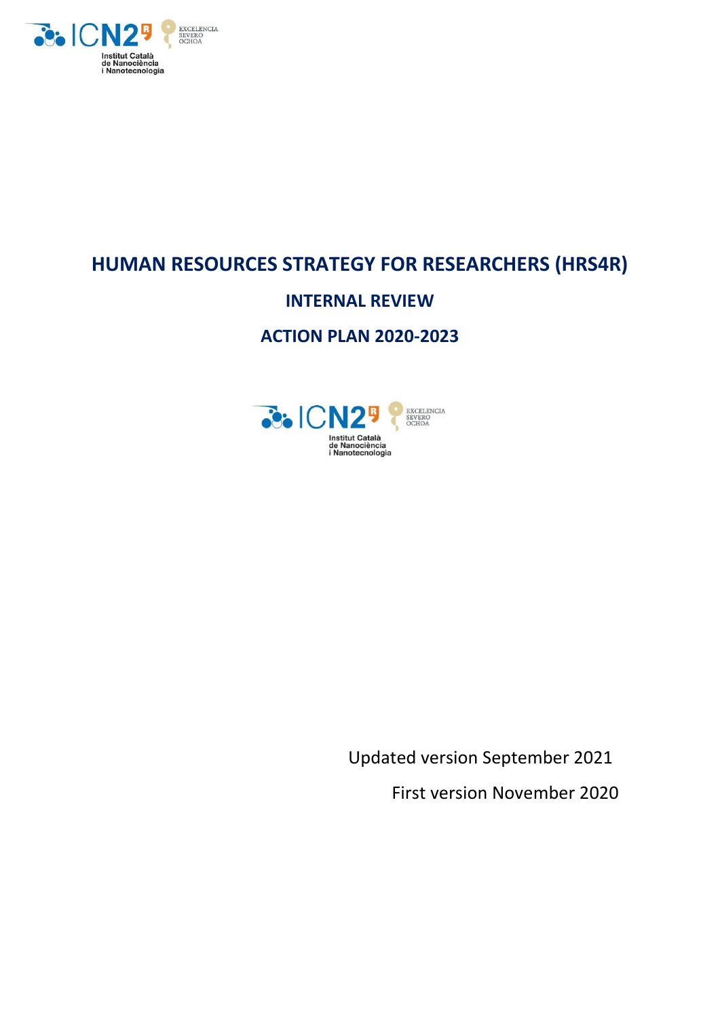

# **HUMAN RESOURCES STRATEGY FOR RESEARCHERS (HRS4R)**

# **INTERNAL REVIEW**

# **ACTION PLAN 2020-2023**



Updated version September 2021 First version November 2020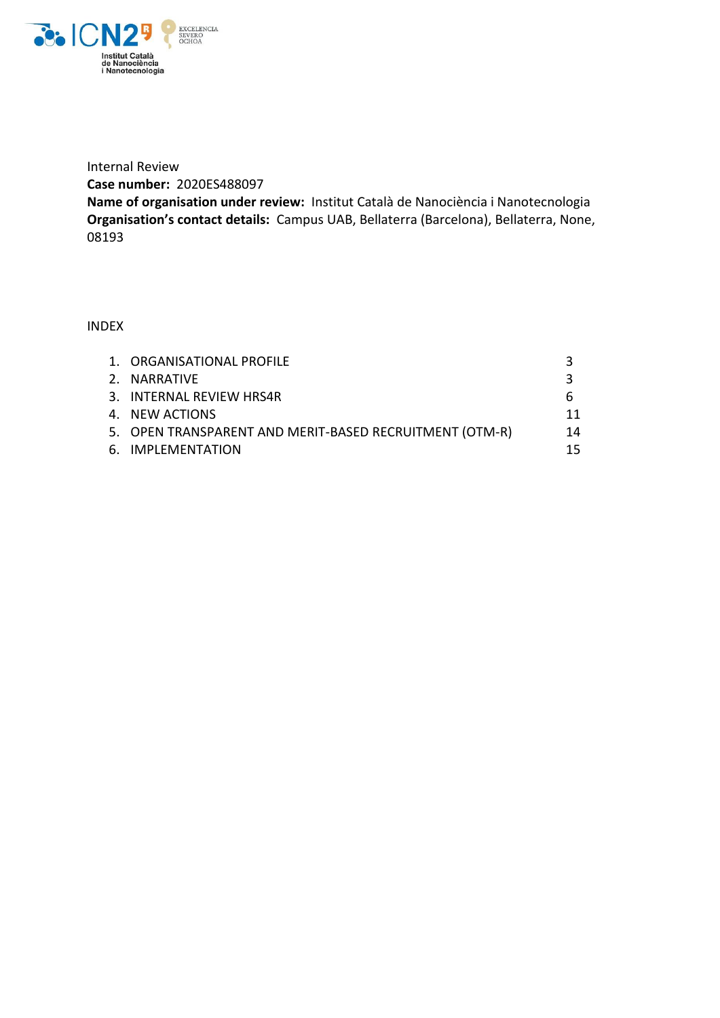

Internal Review **Case number:** 2020ES488097

**Name of organisation under review:** Institut Català de Nanociència i Nanotecnologia **Organisation's contact details:** Campus UAB, Bellaterra (Barcelona), Bellaterra, None, 08193

INDEX

| 1. ORGANISATIONAL PROFILE                               |    |
|---------------------------------------------------------|----|
| 2. NARRATIVE                                            |    |
| 3. INTERNAL REVIEW HRS4R                                |    |
| 4. NEW ACTIONS                                          | 11 |
| 5. OPEN TRANSPARENT AND MERIT-BASED RECRUITMENT (OTM-R) | 14 |
| 6. IMPLEMENTATION                                       | 15 |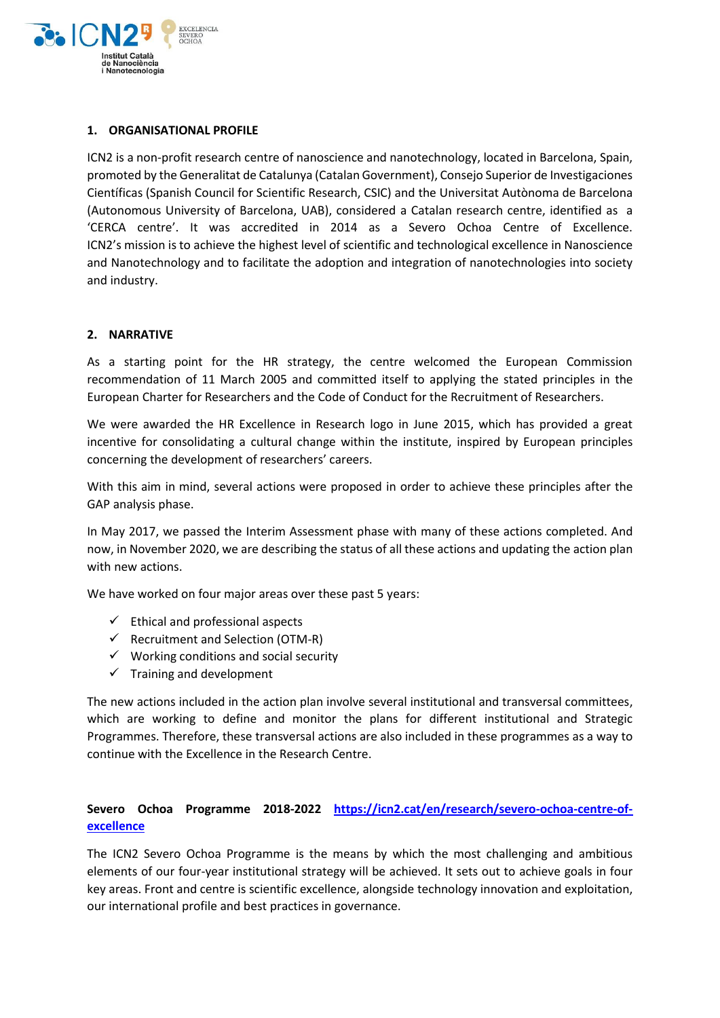

### **1. ORGANISATIONAL PROFILE**

ICN2 is a non-profit research centre of nanoscience and nanotechnology, located in Barcelona, Spain, promoted by the Generalitat de Catalunya (Catalan Government), Consejo Superior de Investigaciones Científicas (Spanish Council for Scientific Research, CSIC) and the Universitat Autònoma de Barcelona (Autonomous University of Barcelona, UAB), considered a Catalan research centre, identified as a 'CERCA centre'. It was accredited in 2014 as a Severo Ochoa Centre of Excellence. ICN2's mission is to achieve the highest level of scientific and technological excellence in Nanoscience and Nanotechnology and to facilitate the adoption and integration of nanotechnologies into society and industry.

#### **2. NARRATIVE**

As a starting point for the HR strategy, the centre welcomed the European Commission recommendation of 11 March 2005 and committed itself to applying the stated principles in the European Charter for Researchers and the Code of Conduct for the Recruitment of Researchers.

We were awarded the HR Excellence in Research logo in June 2015, which has provided a great incentive for consolidating a cultural change within the institute, inspired by European principles concerning the development of researchers' careers.

With this aim in mind, several actions were proposed in order to achieve these principles after the GAP analysis phase.

In May 2017, we passed the Interim Assessment phase with many of these actions completed. And now, in November 2020, we are describing the status of all these actions and updating the action plan with new actions.

We have worked on four major areas over these past 5 years:

- $\checkmark$  Ethical and professional aspects
- $\checkmark$  Recruitment and Selection (OTM-R)
- $\checkmark$  Working conditions and social security
- $\checkmark$  Training and development

The new actions included in the action plan involve several institutional and transversal committees, which are working to define and monitor the plans for different institutional and Strategic Programmes. Therefore, these transversal actions are also included in these programmes as a way to continue with the Excellence in the Research Centre.

# **Severo Ochoa Programme 2018-2022 [https://icn2.cat/en/research/severo-ochoa-centre-of](https://icn2.cat/en/research/severo-ochoa-centre-of-excellence)[excellence](https://icn2.cat/en/research/severo-ochoa-centre-of-excellence)**

The ICN2 Severo Ochoa Programme is the means by which the most challenging and ambitious elements of our four-year institutional strategy will be achieved. It sets out to achieve goals in four key areas. Front and centre is scientific excellence, alongside technology innovation and exploitation, our international profile and best practices in governance.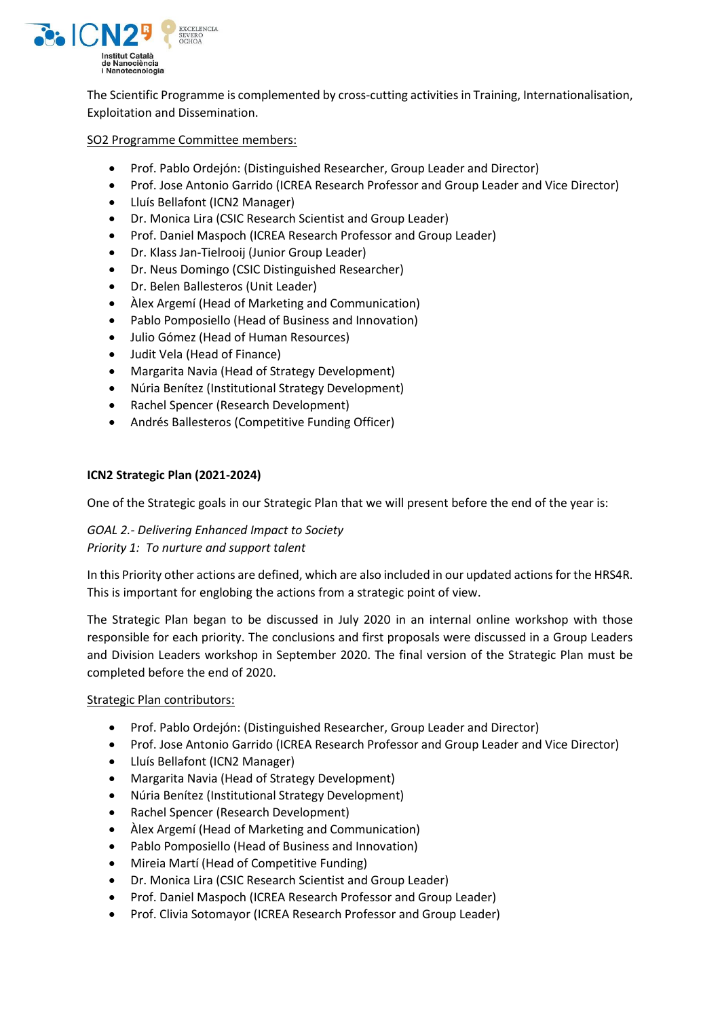

The Scientific Programme is complemented by cross-cutting activities in Training, Internationalisation, Exploitation and Dissemination.

#### SO2 Programme Committee members:

- Prof. Pablo Ordejón: (Distinguished Researcher, Group Leader and Director)
- Prof. Jose Antonio Garrido (ICREA Research Professor and Group Leader and Vice Director)
- Lluís Bellafont (ICN2 Manager)
- Dr. Monica Lira (CSIC Research Scientist and Group Leader)
- Prof. Daniel Maspoch (ICREA Research Professor and Group Leader)
- Dr. Klass Jan-Tielrooij (Junior Group Leader)
- Dr. Neus Domingo (CSIC Distinguished Researcher)
- Dr. Belen Ballesteros (Unit Leader)
- Àlex Argemí (Head of Marketing and Communication)
- Pablo Pomposiello (Head of Business and Innovation)
- Julio Gómez (Head of Human Resources)
- Judit Vela (Head of Finance)
- Margarita Navia (Head of Strategy Development)
- Núria Benítez (Institutional Strategy Development)
- Rachel Spencer (Research Development)
- Andrés Ballesteros (Competitive Funding Officer)

#### **ICN2 Strategic Plan (2021-2024)**

One of the Strategic goals in our Strategic Plan that we will present before the end of the year is:

# *GOAL 2.- Delivering Enhanced Impact to Society*

*Priority 1: To nurture and support talent*

In this Priority other actions are defined, which are also included in our updated actions for the HRS4R. This is important for englobing the actions from a strategic point of view.

The Strategic Plan began to be discussed in July 2020 in an internal online workshop with those responsible for each priority. The conclusions and first proposals were discussed in a Group Leaders and Division Leaders workshop in September 2020. The final version of the Strategic Plan must be completed before the end of 2020.

#### Strategic Plan contributors:

- Prof. Pablo Ordejón: (Distinguished Researcher, Group Leader and Director)
- Prof. Jose Antonio Garrido (ICREA Research Professor and Group Leader and Vice Director)
- Lluís Bellafont (ICN2 Manager)
- Margarita Navia (Head of Strategy Development)
- Núria Benítez (Institutional Strategy Development)
- Rachel Spencer (Research Development)
- Àlex Argemí (Head of Marketing and Communication)
- Pablo Pomposiello (Head of Business and Innovation)
- Mireia Martí (Head of Competitive Funding)
- Dr. Monica Lira (CSIC Research Scientist and Group Leader)
- Prof. Daniel Maspoch (ICREA Research Professor and Group Leader)
- Prof. Clivia Sotomayor (ICREA Research Professor and Group Leader)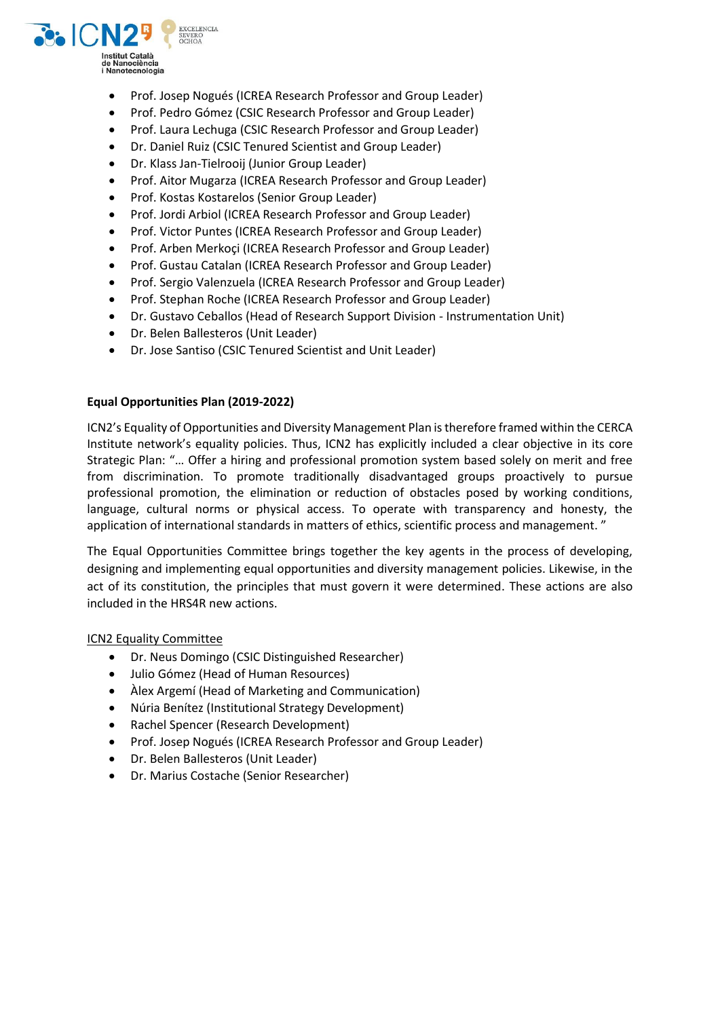

- Prof. Josep Nogués (ICREA Research Professor and Group Leader)
- Prof. Pedro Gómez (CSIC Research Professor and Group Leader)
- Prof. Laura Lechuga (CSIC Research Professor and Group Leader)
- Dr. Daniel Ruiz (CSIC Tenured Scientist and Group Leader)
- Dr. Klass Jan-Tielrooij (Junior Group Leader)
- Prof. Aitor Mugarza (ICREA Research Professor and Group Leader)
- Prof. Kostas Kostarelos (Senior Group Leader)
- Prof. Jordi Arbiol (ICREA Research Professor and Group Leader)
- Prof. Victor Puntes (ICREA Research Professor and Group Leader)
- Prof. Arben Merkoci (ICREA Research Professor and Group Leader)
- Prof. Gustau Catalan (ICREA Research Professor and Group Leader)
- Prof. Sergio Valenzuela (ICREA Research Professor and Group Leader)
- Prof. Stephan Roche (ICREA Research Professor and Group Leader)
- Dr. Gustavo Ceballos (Head of Research Support Division Instrumentation Unit)
- Dr. Belen Ballesteros (Unit Leader)
- Dr. Jose Santiso (CSIC Tenured Scientist and Unit Leader)

#### **Equal Opportunities Plan (2019-2022)**

ICN2's Equality of Opportunities and Diversity Management Plan is therefore framed within the CERCA Institute network's equality policies. Thus, ICN2 has explicitly included a clear objective in its core Strategic Plan: "… Offer a hiring and professional promotion system based solely on merit and free from discrimination. To promote traditionally disadvantaged groups proactively to pursue professional promotion, the elimination or reduction of obstacles posed by working conditions, language, cultural norms or physical access. To operate with transparency and honesty, the application of international standards in matters of ethics, scientific process and management. "

The Equal Opportunities Committee brings together the key agents in the process of developing, designing and implementing equal opportunities and diversity management policies. Likewise, in the act of its constitution, the principles that must govern it were determined. These actions are also included in the HRS4R new actions.

# ICN2 Equality Committee

- Dr. Neus Domingo (CSIC Distinguished Researcher)
- Julio Gómez (Head of Human Resources)
- Àlex Argemí (Head of Marketing and Communication)
- Núria Benítez (Institutional Strategy Development)
- Rachel Spencer (Research Development)
- Prof. Josep Nogués (ICREA Research Professor and Group Leader)
- Dr. Belen Ballesteros (Unit Leader)
- Dr. Marius Costache (Senior Researcher)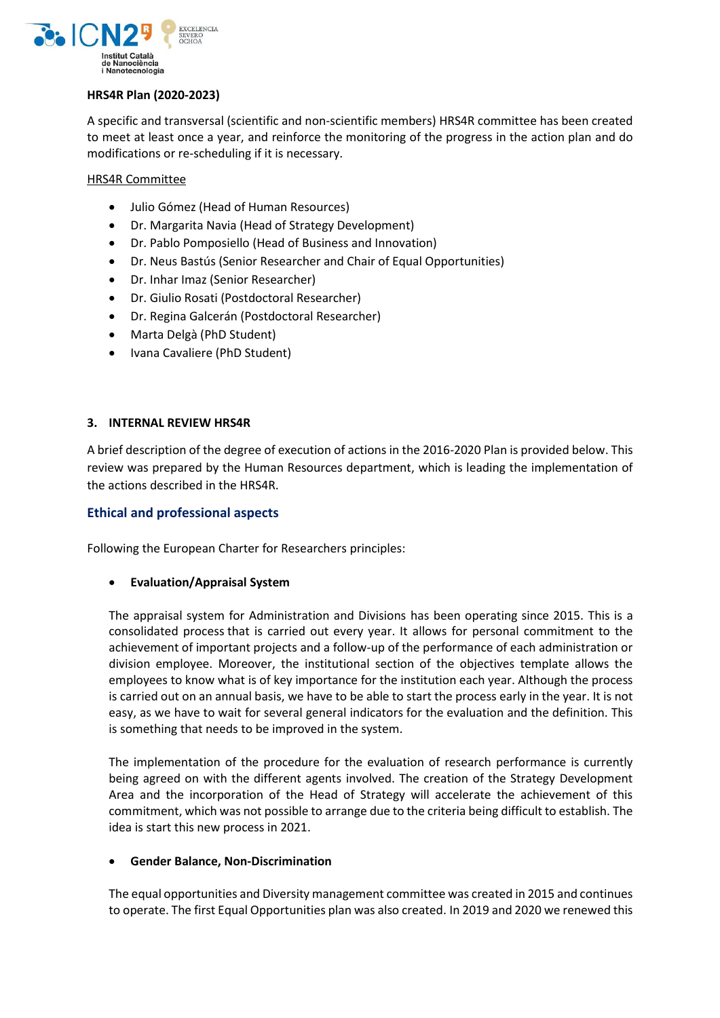

#### **HRS4R Plan (2020-2023)**

A specific and transversal (scientific and non-scientific members) HRS4R committee has been created to meet at least once a year, and reinforce the monitoring of the progress in the action plan and do modifications or re-scheduling if it is necessary.

HRS4R Committee

- Julio Gómez (Head of Human Resources)
- Dr. Margarita Navia (Head of Strategy Development)
- Dr. Pablo Pomposiello (Head of Business and Innovation)
- Dr. Neus Bastús (Senior Researcher and Chair of Equal Opportunities)
- Dr. Inhar Imaz (Senior Researcher)
- Dr. Giulio Rosati (Postdoctoral Researcher)
- Dr. Regina Galcerán (Postdoctoral Researcher)
- Marta Delgà (PhD Student)
- Ivana Cavaliere (PhD Student)

#### **3. INTERNAL REVIEW HRS4R**

A brief description of the degree of execution of actions in the 2016-2020 Plan is provided below. This review was prepared by the Human Resources department, which is leading the implementation of the actions described in the HRS4R.

# **Ethical and professional aspects**

Following the European Charter for Researchers principles:

# **Evaluation/Appraisal System**

The appraisal system for Administration and Divisions has been operating since 2015. This is a consolidated process that is carried out every year. It allows for personal commitment to the achievement of important projects and a follow-up of the performance of each administration or division employee. Moreover, the institutional section of the objectives template allows the employees to know what is of key importance for the institution each year. Although the process is carried out on an annual basis, we have to be able to start the process early in the year. It is not easy, as we have to wait for several general indicators for the evaluation and the definition. This is something that needs to be improved in the system.

The implementation of the procedure for the evaluation of research performance is currently being agreed on with the different agents involved. The creation of the Strategy Development Area and the incorporation of the Head of Strategy will accelerate the achievement of this commitment, which was not possible to arrange due to the criteria being difficult to establish. The idea is start this new process in 2021.

#### **Gender Balance, Non-Discrimination**

The equal opportunities and Diversity management committee was created in 2015 and continues to operate. The first Equal Opportunities plan was also created. In 2019 and 2020 we renewed this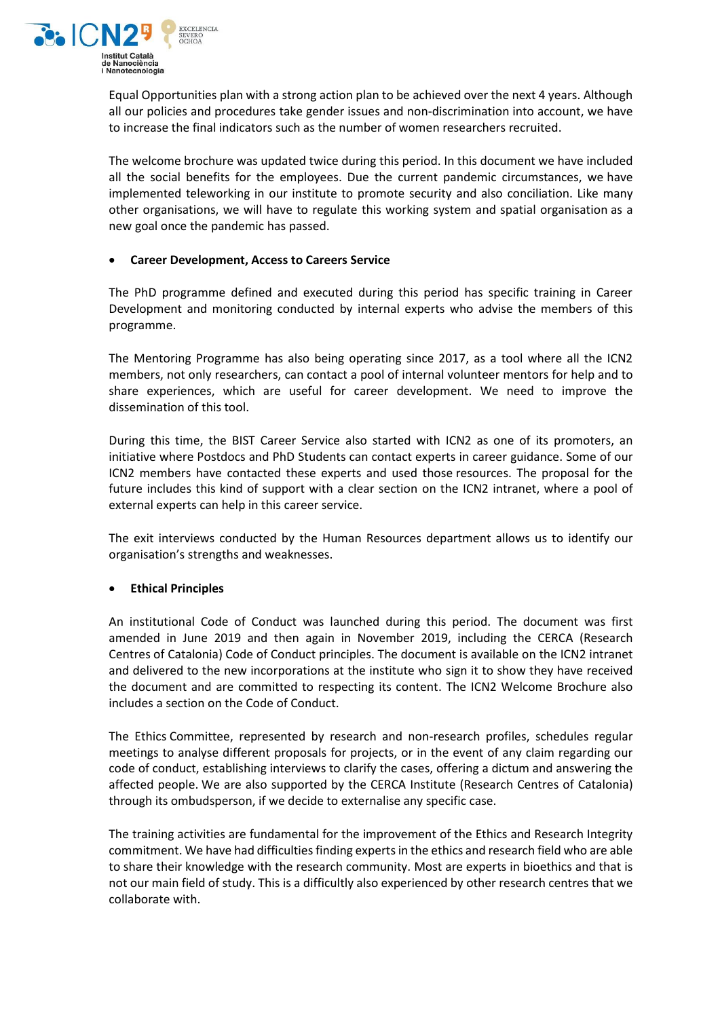

Equal Opportunities plan with a strong action plan to be achieved over the next 4 years. Although all our policies and procedures take gender issues and non-discrimination into account, we have to increase the final indicators such as the number of women researchers recruited.

The welcome brochure was updated twice during this period. In this document we have included all the social benefits for the employees. Due the current pandemic circumstances, we have implemented teleworking in our institute to promote security and also conciliation. Like many other organisations, we will have to regulate this working system and spatial organisation as a new goal once the pandemic has passed.

#### **Career Development, Access to Careers Service**

The PhD programme defined and executed during this period has specific training in Career Development and monitoring conducted by internal experts who advise the members of this programme.

The Mentoring Programme has also being operating since 2017, as a tool where all the ICN2 members, not only researchers, can contact a pool of internal volunteer mentors for help and to share experiences, which are useful for career development. We need to improve the dissemination of this tool.

During this time, the BIST Career Service also started with ICN2 as one of its promoters, an initiative where Postdocs and PhD Students can contact experts in career guidance. Some of our ICN2 members have contacted these experts and used those resources. The proposal for the future includes this kind of support with a clear section on the ICN2 intranet, where a pool of external experts can help in this career service.

The exit interviews conducted by the Human Resources department allows us to identify our organisation's strengths and weaknesses.

#### **Ethical Principles**

An institutional Code of Conduct was launched during this period. The document was first amended in June 2019 and then again in November 2019, including the CERCA (Research Centres of Catalonia) Code of Conduct principles. The document is available on the ICN2 intranet and delivered to the new incorporations at the institute who sign it to show they have received the document and are committed to respecting its content. The ICN2 Welcome Brochure also includes a section on the Code of Conduct.

The Ethics Committee, represented by research and non-research profiles, schedules regular meetings to analyse different proposals for projects, or in the event of any claim regarding our code of conduct, establishing interviews to clarify the cases, offering a dictum and answering the affected people. We are also supported by the CERCA Institute (Research Centres of Catalonia) through its ombudsperson, if we decide to externalise any specific case.

The training activities are fundamental for the improvement of the Ethics and Research Integrity commitment. We have had difficulties finding experts in the ethics and research field who are able to share their knowledge with the research community. Most are experts in bioethics and that is not our main field of study. This is a difficultly also experienced by other research centres that we collaborate with.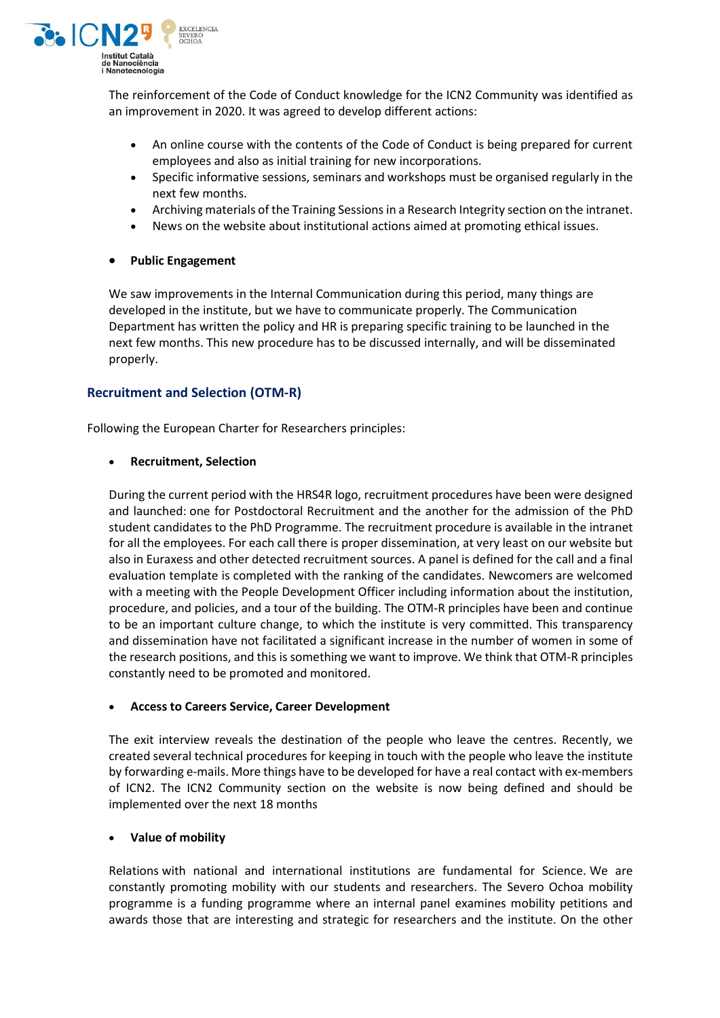

The reinforcement of the Code of Conduct knowledge for the ICN2 Community was identified as an improvement in 2020. It was agreed to develop different actions:

- An online course with the contents of the Code of Conduct is being prepared for current employees and also as initial training for new incorporations.
- Specific informative sessions, seminars and workshops must be organised regularly in the next few months.
- Archiving materials of the Training Sessions in a Research Integrity section on the intranet.
- News on the website about institutional actions aimed at promoting ethical issues.

#### **Public Engagement**

We saw improvements in the Internal Communication during this period, many things are developed in the institute, but we have to communicate properly. The Communication Department has written the policy and HR is preparing specific training to be launched in the next few months. This new procedure has to be discussed internally, and will be disseminated properly.

# **Recruitment and Selection (OTM-R)**

Following the European Charter for Researchers principles:

#### **Recruitment, Selection**

During the current period with the HRS4R logo, recruitment procedures have been were designed and launched: one for Postdoctoral Recruitment and the another for the admission of the PhD student candidates to the PhD Programme. The recruitment procedure is available in the intranet for all the employees. For each call there is proper dissemination, at very least on our website but also in Euraxess and other detected recruitment sources. A panel is defined for the call and a final evaluation template is completed with the ranking of the candidates. Newcomers are welcomed with a meeting with the People Development Officer including information about the institution, procedure, and policies, and a tour of the building. The OTM-R principles have been and continue to be an important culture change, to which the institute is very committed. This transparency and dissemination have not facilitated a significant increase in the number of women in some of the research positions, and this issomething we want to improve. We think that OTM-R principles constantly need to be promoted and monitored.

#### **Access to Careers Service, Career Development**

The exit interview reveals the destination of the people who leave the centres. Recently, we created several technical procedures for keeping in touch with the people who leave the institute by forwarding e-mails. More things have to be developed for have a real contact with ex-members of ICN2. The ICN2 Community section on the website is now being defined and should be implemented over the next 18 months

#### **Value of mobility**

Relations with national and international institutions are fundamental for Science. We are constantly promoting mobility with our students and researchers. The Severo Ochoa mobility programme is a funding programme where an internal panel examines mobility petitions and awards those that are interesting and strategic for researchers and the institute. On the other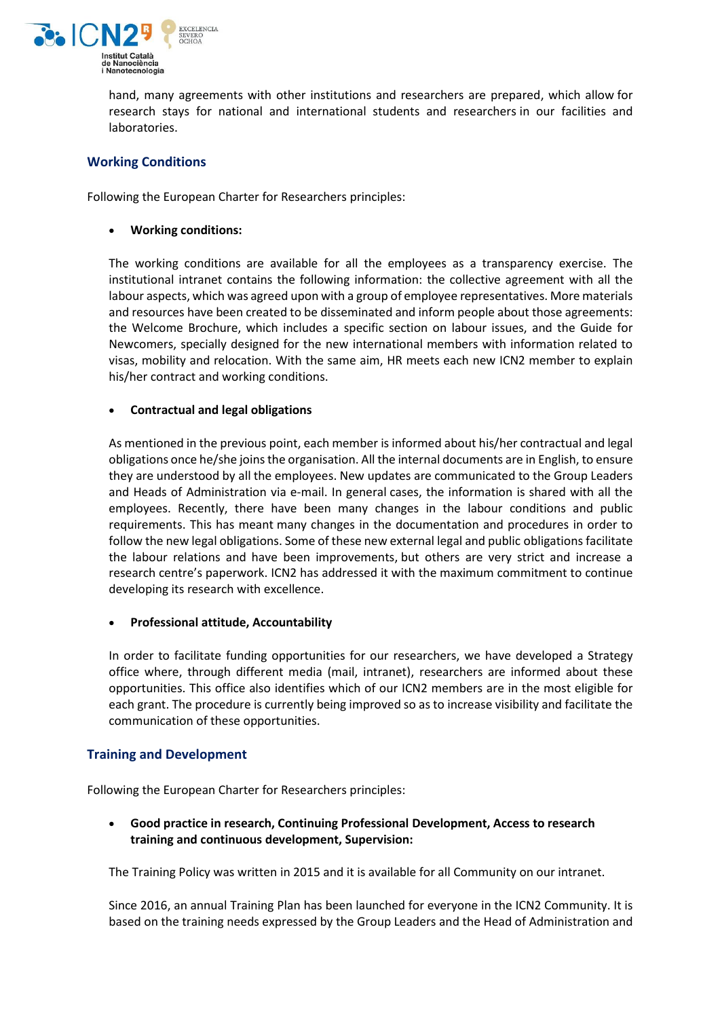

hand, many agreements with other institutions and researchers are prepared, which allow for research stays for national and international students and researchers in our facilities and laboratories.

# **Working Conditions**

Following the European Charter for Researchers principles:

#### **Working conditions:**

The working conditions are available for all the employees as a transparency exercise. The institutional intranet contains the following information: the collective agreement with all the labour aspects, which was agreed upon with a group of employee representatives. More materials and resources have been created to be disseminated and inform people about those agreements: the Welcome Brochure, which includes a specific section on labour issues, and the Guide for Newcomers, specially designed for the new international members with information related to visas, mobility and relocation. With the same aim, HR meets each new ICN2 member to explain his/her contract and working conditions.

#### **Contractual and legal obligations**

As mentioned in the previous point, each member is informed about his/her contractual and legal obligations once he/she joinsthe organisation. All the internal documents are in English, to ensure they are understood by all the employees. New updates are communicated to the Group Leaders and Heads of Administration via e-mail. In general cases, the information is shared with all the employees. Recently, there have been many changes in the labour conditions and public requirements. This has meant many changes in the documentation and procedures in order to follow the new legal obligations. Some of these new external legal and public obligations facilitate the labour relations and have been improvements, but others are very strict and increase a research centre's paperwork. ICN2 has addressed it with the maximum commitment to continue developing its research with excellence.

#### **Professional attitude, Accountability**

In order to facilitate funding opportunities for our researchers, we have developed a Strategy office where, through different media (mail, intranet), researchers are informed about these opportunities. This office also identifies which of our ICN2 members are in the most eligible for each grant. The procedure is currently being improved so asto increase visibility and facilitate the communication of these opportunities.

# **Training and Development**

Following the European Charter for Researchers principles:

 **Good practice in research, Continuing Professional Development, Access to research training and continuous development, Supervision:**

The Training Policy was written in 2015 and it is available for all Community on our intranet.

Since 2016, an annual Training Plan has been launched for everyone in the ICN2 Community. It is based on the training needs expressed by the Group Leaders and the Head of Administration and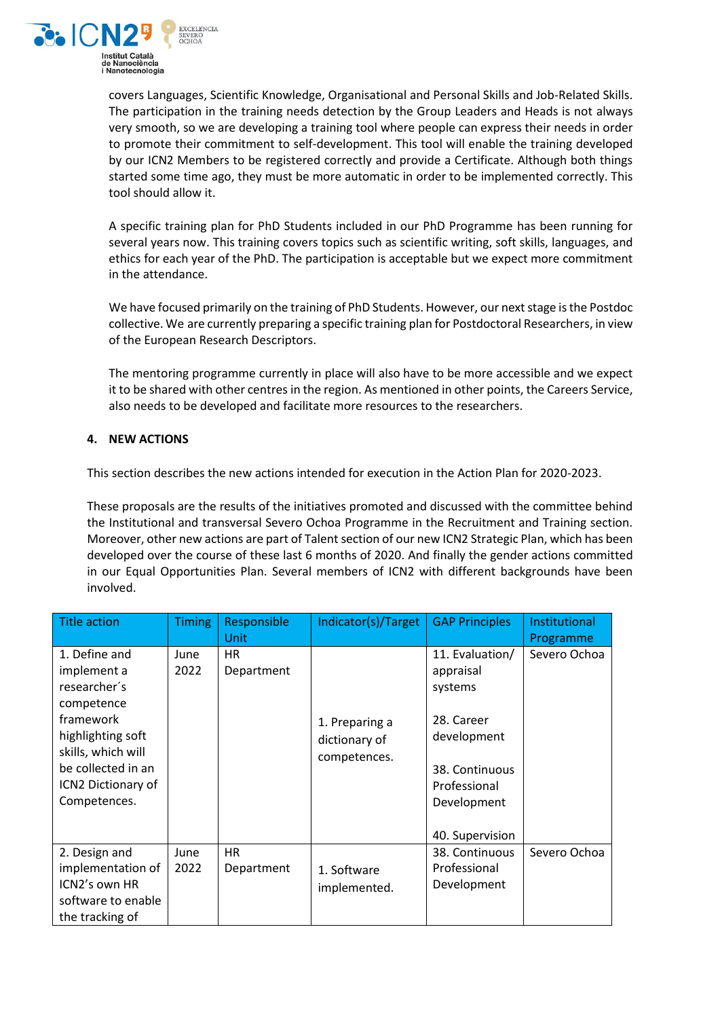

covers Languages, Scientific Knowledge, Organisational and Personal Skills and Job-Related Skills. The participation in the training needs detection by the Group Leaders and Heads is not always very smooth, so we are developing a training tool where people can express their needs in order to promote their commitment to self-development. This tool will enable the training developed by our ICN2 Members to be registered correctly and provide a Certificate. Although both things started some time ago, they must be more automatic in order to be implemented correctly. This tool should allow it.

A specific training plan for PhD Students included in our PhD Programme has been running for several years now. This training covers topics such as scientific writing, soft skills, languages, and ethics for each year of the PhD. The participation is acceptable but we expect more commitment in the attendance.

We have focused primarily on the training of PhD Students. However, our next stage is the Postdoc collective. We are currently preparing a specific training plan for Postdoctoral Researchers, in view of the European Research Descriptors.

The mentoring programme currently in place will also have to be more accessible and we expect it to be shared with other centres in the region. As mentioned in other points, the Careers Service, also needs to be developed and facilitate more resources to the researchers.

# **4. NEW ACTIONS**

This section describes the new actions intended for execution in the Action Plan for 2020-2023.

These proposals are the results of the initiatives promoted and discussed with the committee behind the Institutional and transversal Severo Ochoa Programme in the Recruitment and Training section. Moreover, other new actions are part of Talent section of our new ICN2 Strategic Plan, which has been developed over the course of these last 6 months of 2020. And finally the gender actions committed in our Equal Opportunities Plan. Several members of ICN2 with different backgrounds have been involved.

| <b>Title action</b>                                                                                                                                                            | <b>Timing</b> | Responsible<br>Unit     | Indicator(s)/Target                             | <b>GAP Principles</b>                                                                                                                    | Institutional<br>Programme |
|--------------------------------------------------------------------------------------------------------------------------------------------------------------------------------|---------------|-------------------------|-------------------------------------------------|------------------------------------------------------------------------------------------------------------------------------------------|----------------------------|
| 1. Define and<br>implement a<br>researcher's<br>competence<br>framework<br>highlighting soft<br>skills, which will<br>be collected in an<br>ICN2 Dictionary of<br>Competences. | June<br>2022  | <b>HR</b><br>Department | 1. Preparing a<br>dictionary of<br>competences. | 11. Evaluation/<br>appraisal<br>systems<br>28. Career<br>development<br>38. Continuous<br>Professional<br>Development<br>40. Supervision | Severo Ochoa               |
| 2. Design and<br>implementation of<br>ICN2's own HR<br>software to enable<br>the tracking of                                                                                   | June<br>2022  | <b>HR</b><br>Department | 1. Software<br>implemented.                     | 38. Continuous<br>Professional<br>Development                                                                                            | Severo Ochoa               |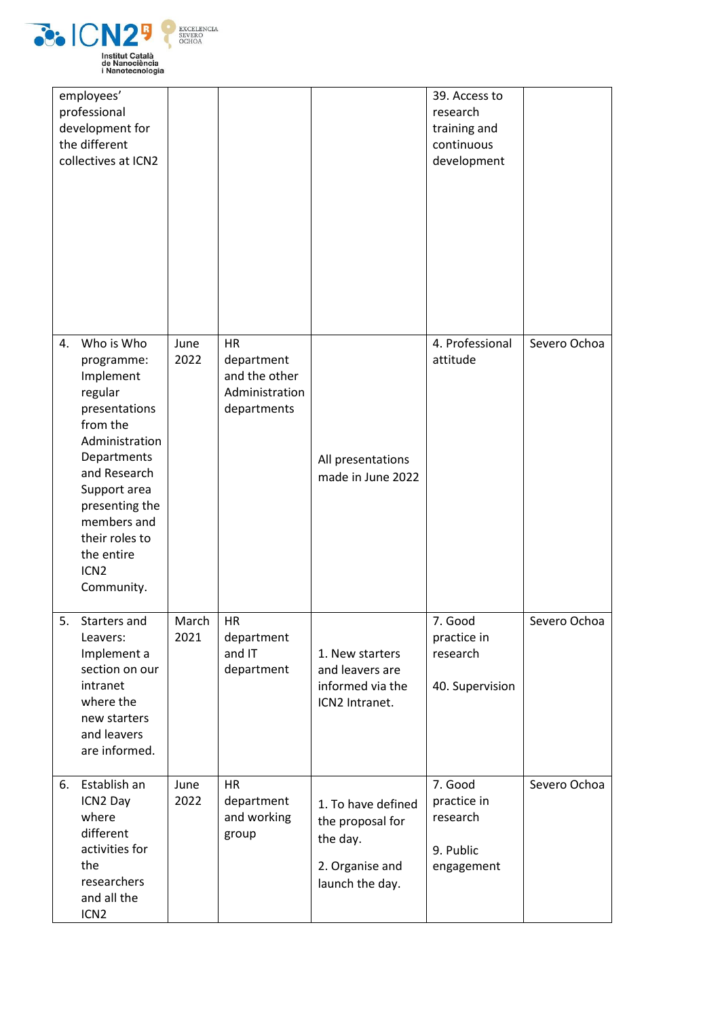

|    | employees'<br>professional<br>development for<br>the different<br>collectives at ICN2                                                                                                                                                             |               |                                                                    |                                                                                          | 39. Access to<br>research<br>training and<br>continuous<br>development |              |
|----|---------------------------------------------------------------------------------------------------------------------------------------------------------------------------------------------------------------------------------------------------|---------------|--------------------------------------------------------------------|------------------------------------------------------------------------------------------|------------------------------------------------------------------------|--------------|
| 4. | Who is Who<br>programme:<br>Implement<br>regular<br>presentations<br>from the<br>Administration<br>Departments<br>and Research<br>Support area<br>presenting the<br>members and<br>their roles to<br>the entire<br>ICN <sub>2</sub><br>Community. | June<br>2022  | HR<br>department<br>and the other<br>Administration<br>departments | All presentations<br>made in June 2022                                                   | 4. Professional<br>attitude                                            | Severo Ochoa |
| 5. | Starters and<br>Leavers:<br>Implement a<br>section on our<br>intranet<br>where the<br>new starters<br>and leavers<br>are informed.                                                                                                                | March<br>2021 | HR<br>department<br>and IT<br>department                           | 1. New starters<br>and leavers are<br>informed via the<br>ICN2 Intranet.                 | 7. Good<br>practice in<br>research<br>40. Supervision                  | Severo Ochoa |
| 6. | Establish an<br>ICN2 Day<br>where<br>different<br>activities for<br>the<br>researchers<br>and all the<br>ICN <sub>2</sub>                                                                                                                         | June<br>2022  | HR<br>department<br>and working<br>group                           | 1. To have defined<br>the proposal for<br>the day.<br>2. Organise and<br>launch the day. | 7. Good<br>practice in<br>research<br>9. Public<br>engagement          | Severo Ochoa |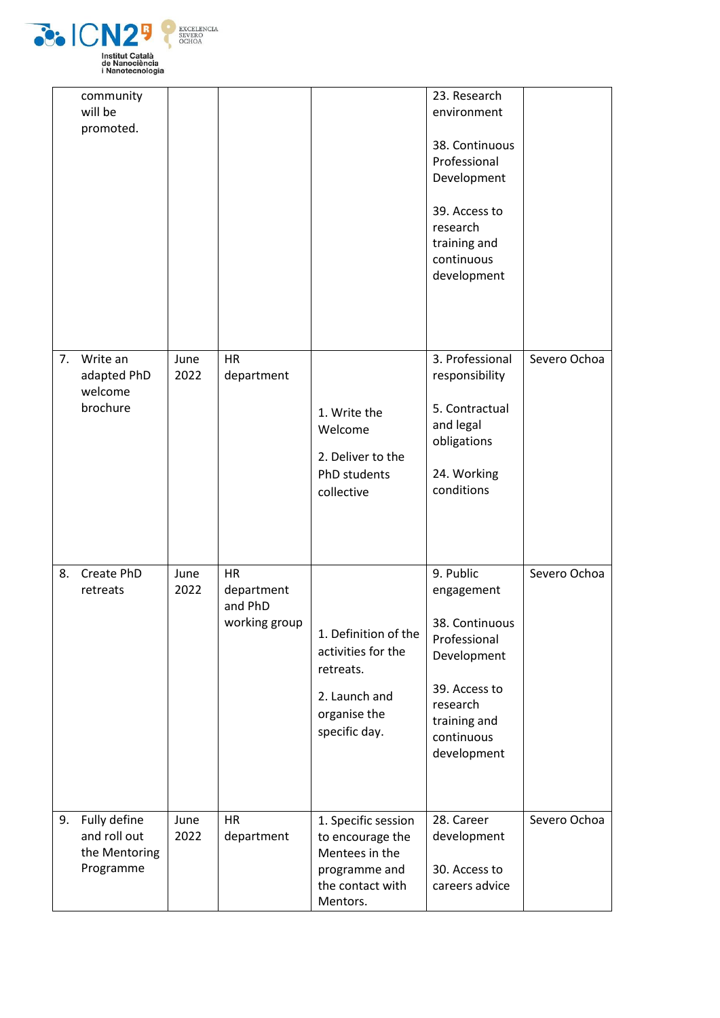

|    | community<br>will be<br>promoted.                          |              |                                                     |                                                                                                            | 23. Research<br>environment<br>38. Continuous<br>Professional<br>Development<br>39. Access to<br>research<br>training and<br>continuous<br>development |              |
|----|------------------------------------------------------------|--------------|-----------------------------------------------------|------------------------------------------------------------------------------------------------------------|--------------------------------------------------------------------------------------------------------------------------------------------------------|--------------|
|    | 7. Write an<br>adapted PhD<br>welcome<br>brochure          | June<br>2022 | <b>HR</b><br>department                             | 1. Write the<br>Welcome<br>2. Deliver to the<br>PhD students<br>collective                                 | 3. Professional<br>responsibility<br>5. Contractual<br>and legal<br>obligations<br>24. Working<br>conditions                                           | Severo Ochoa |
| 8. | Create PhD<br>retreats                                     | June<br>2022 | <b>HR</b><br>department<br>and PhD<br>working group | 1. Definition of the<br>activities for the<br>retreats.<br>2. Launch and<br>organise the<br>specific day.  | 9. Public<br>engagement<br>38. Continuous<br>Professional<br>Development<br>39. Access to<br>research<br>training and<br>continuous<br>development     | Severo Ochoa |
| 9. | Fully define<br>and roll out<br>the Mentoring<br>Programme | June<br>2022 | HR<br>department                                    | 1. Specific session<br>to encourage the<br>Mentees in the<br>programme and<br>the contact with<br>Mentors. | 28. Career<br>development<br>30. Access to<br>careers advice                                                                                           | Severo Ochoa |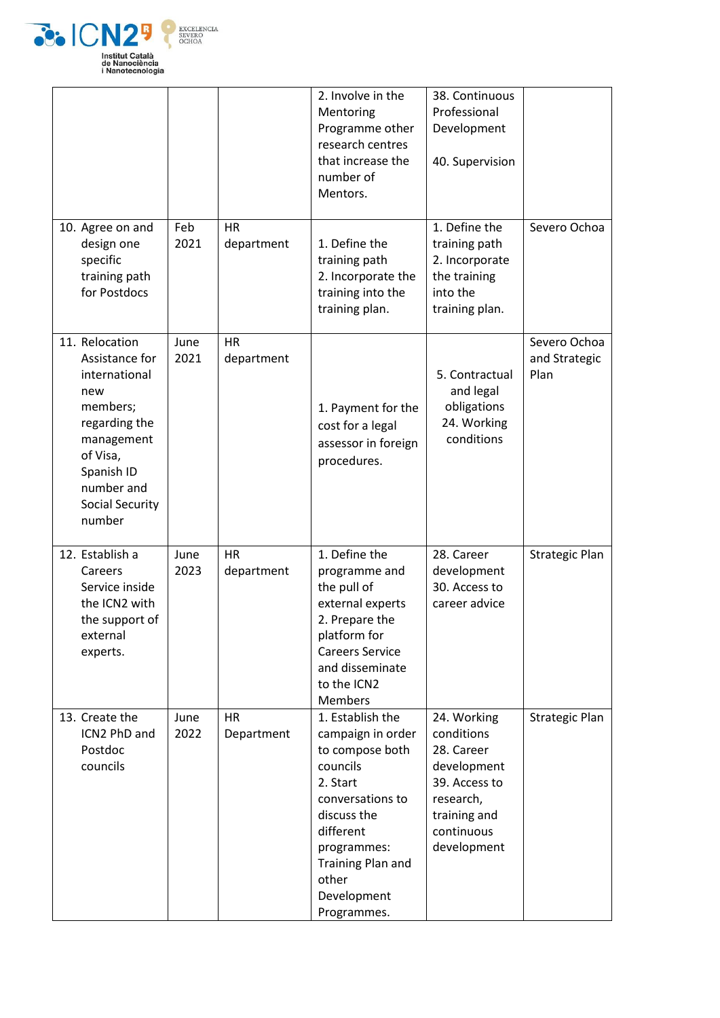

|                                                                                                                                                                                 |              |                         | 2. Involve in the<br>Mentoring<br>Programme other<br>research centres<br>that increase the<br>number of<br>Mentors.                                                                                         | 38. Continuous<br>Professional<br>Development<br>40. Supervision                                                                  |                                       |
|---------------------------------------------------------------------------------------------------------------------------------------------------------------------------------|--------------|-------------------------|-------------------------------------------------------------------------------------------------------------------------------------------------------------------------------------------------------------|-----------------------------------------------------------------------------------------------------------------------------------|---------------------------------------|
| 10. Agree on and<br>design one<br>specific<br>training path<br>for Postdocs                                                                                                     | Feb<br>2021  | <b>HR</b><br>department | 1. Define the<br>training path<br>2. Incorporate the<br>training into the<br>training plan.                                                                                                                 | 1. Define the<br>training path<br>2. Incorporate<br>the training<br>into the<br>training plan.                                    | Severo Ochoa                          |
| 11. Relocation<br>Assistance for<br>international<br>new<br>members;<br>regarding the<br>management<br>of Visa,<br>Spanish ID<br>number and<br><b>Social Security</b><br>number | June<br>2021 | <b>HR</b><br>department | 1. Payment for the<br>cost for a legal<br>assessor in foreign<br>procedures.                                                                                                                                | 5. Contractual<br>and legal<br>obligations<br>24. Working<br>conditions                                                           | Severo Ochoa<br>and Strategic<br>Plan |
| 12. Establish a<br>Careers<br>Service inside<br>the ICN2 with<br>the support of<br>external<br>experts.                                                                         | June<br>2023 | <b>HR</b><br>department | 1. Define the<br>programme and<br>the pull of<br>external experts<br>2. Prepare the<br>platform for<br><b>Careers Service</b><br>and disseminate<br>to the ICN2<br><b>Members</b>                           | 28. Career<br>development<br>30. Access to<br>career advice                                                                       | <b>Strategic Plan</b>                 |
| 13. Create the<br>ICN2 PhD and<br>Postdoc<br>councils                                                                                                                           | June<br>2022 | <b>HR</b><br>Department | 1. Establish the<br>campaign in order<br>to compose both<br>councils<br>2. Start<br>conversations to<br>discuss the<br>different<br>programmes:<br>Training Plan and<br>other<br>Development<br>Programmes. | 24. Working<br>conditions<br>28. Career<br>development<br>39. Access to<br>research,<br>training and<br>continuous<br>development | <b>Strategic Plan</b>                 |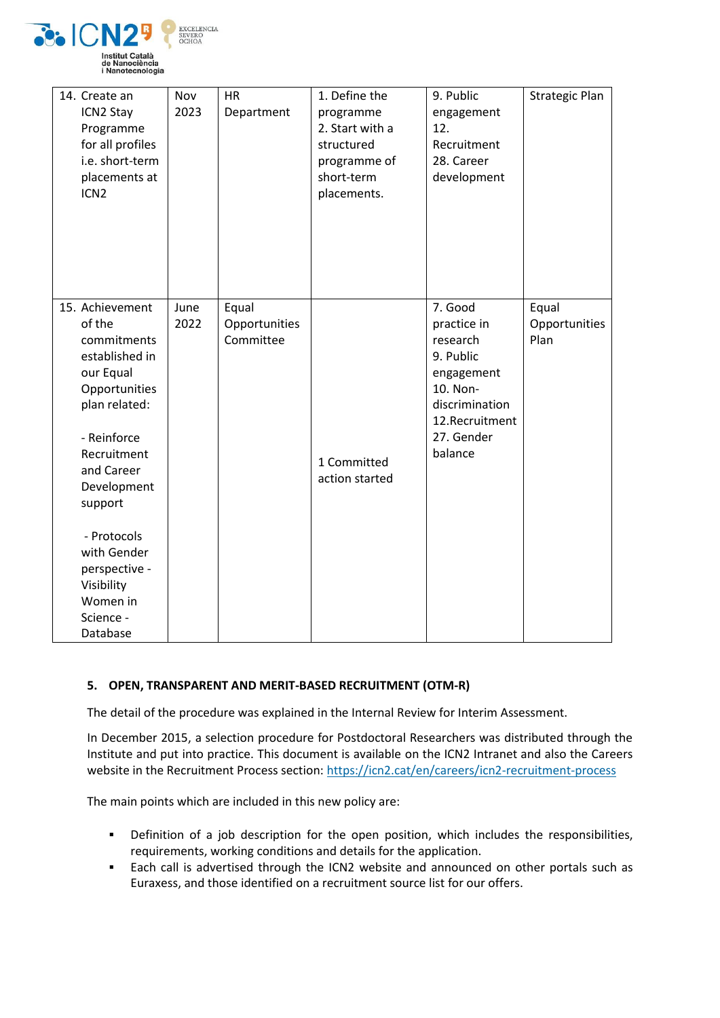

| 14. Create an<br>ICN2 Stay<br>Programme<br>for all profiles<br>i.e. short-term<br>placements at<br>ICN <sub>2</sub>                                                                                                                                                               | Nov<br>2023  | <b>HR</b><br>Department             | 1. Define the<br>programme<br>2. Start with a<br>structured<br>programme of<br>short-term<br>placements. | 9. Public<br>engagement<br>12.<br>Recruitment<br>28. Career<br>development                                                             | <b>Strategic Plan</b>          |
|-----------------------------------------------------------------------------------------------------------------------------------------------------------------------------------------------------------------------------------------------------------------------------------|--------------|-------------------------------------|----------------------------------------------------------------------------------------------------------|----------------------------------------------------------------------------------------------------------------------------------------|--------------------------------|
| 15. Achievement<br>of the<br>commitments<br>established in<br>our Equal<br>Opportunities<br>plan related:<br>- Reinforce<br>Recruitment<br>and Career<br>Development<br>support<br>- Protocols<br>with Gender<br>perspective -<br>Visibility<br>Women in<br>Science -<br>Database | June<br>2022 | Equal<br>Opportunities<br>Committee | 1 Committed<br>action started                                                                            | 7. Good<br>practice in<br>research<br>9. Public<br>engagement<br>10. Non-<br>discrimination<br>12.Recruitment<br>27. Gender<br>balance | Equal<br>Opportunities<br>Plan |

# **5. OPEN, TRANSPARENT AND MERIT-BASED RECRUITMENT (OTM-R)**

The detail of the procedure was explained in the Internal Review for Interim Assessment.

In December 2015, a selection procedure for Postdoctoral Researchers was distributed through the Institute and put into practice. This document is available on the ICN2 Intranet and also the Careers website in the Recruitment Process section: <https://icn2.cat/en/careers/icn2-recruitment-process>

The main points which are included in this new policy are:

- Definition of a job description for the open position, which includes the responsibilities, requirements, working conditions and details for the application.
- **Each call is advertised through the ICN2 website and announced on other portals such as** Euraxess, and those identified on a recruitment source list for our offers.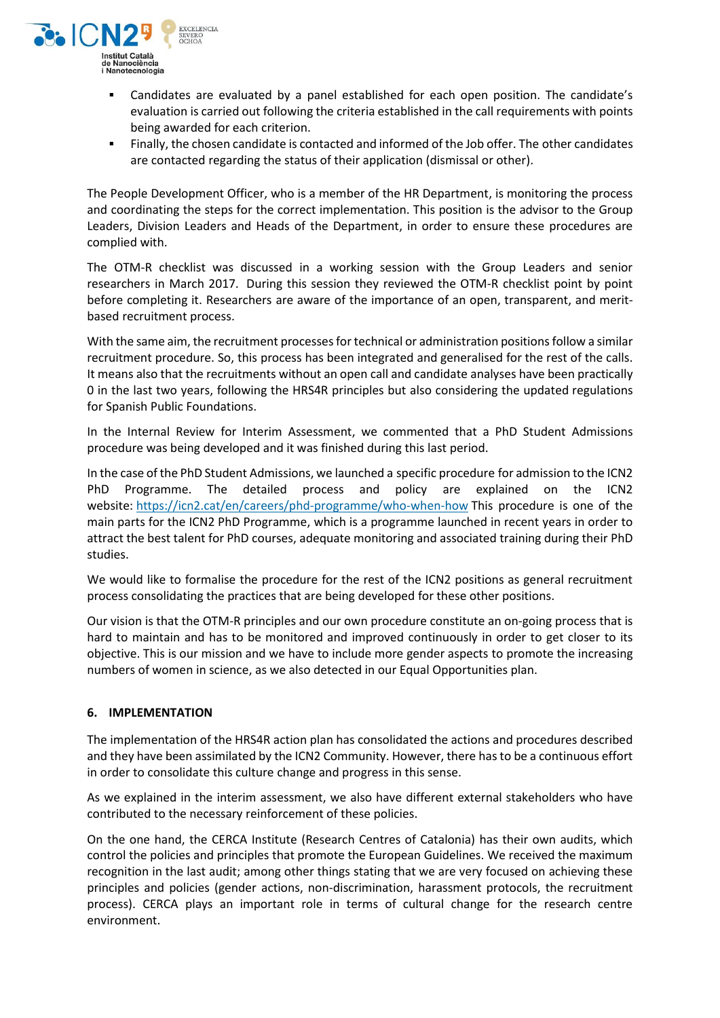

- Candidates are evaluated by a panel established for each open position. The candidate's evaluation is carried out following the criteria established in the call requirements with points being awarded for each criterion.
- Finally, the chosen candidate is contacted and informed of the Job offer. The other candidates are contacted regarding the status of their application (dismissal or other).

The People Development Officer, who is a member of the HR Department, is monitoring the process and coordinating the steps for the correct implementation. This position is the advisor to the Group Leaders, Division Leaders and Heads of the Department, in order to ensure these procedures are complied with.

The OTM-R checklist was discussed in a working session with the Group Leaders and senior researchers in March 2017. During this session they reviewed the OTM-R checklist point by point before completing it. Researchers are aware of the importance of an open, transparent, and meritbased recruitment process.

With the same aim, the recruitment processes for technical or administration positions follow a similar recruitment procedure. So, this process has been integrated and generalised for the rest of the calls. It means also that the recruitments without an open call and candidate analyses have been practically 0 in the last two years, following the HRS4R principles but also considering the updated regulations for Spanish Public Foundations.

In the Internal Review for Interim Assessment, we commented that a PhD Student Admissions procedure was being developed and it was finished during this last period.

In the case of the PhD Student Admissions, we launched a specific procedure for admission to the ICN2 PhD Programme. The detailed process and policy are explained on the ICN2 website: <https://icn2.cat/en/careers/phd-programme/who-when-how> This procedure is one of the main parts for the ICN2 PhD Programme, which is a programme launched in recent years in order to attract the best talent for PhD courses, adequate monitoring and associated training during their PhD studies.

We would like to formalise the procedure for the rest of the ICN2 positions as general recruitment process consolidating the practices that are being developed for these other positions.

Our vision is that the OTM-R principles and our own procedure constitute an on-going process that is hard to maintain and has to be monitored and improved continuously in order to get closer to its objective. This is our mission and we have to include more gender aspects to promote the increasing numbers of women in science, as we also detected in our Equal Opportunities plan.

#### **6. IMPLEMENTATION**

The implementation of the HRS4R action plan has consolidated the actions and procedures described and they have been assimilated by the ICN2 Community. However, there has to be a continuous effort in order to consolidate this culture change and progress in this sense.

As we explained in the interim assessment, we also have different external stakeholders who have contributed to the necessary reinforcement of these policies.

On the one hand, the CERCA Institute (Research Centres of Catalonia) has their own audits, which control the policies and principles that promote the European Guidelines. We received the maximum recognition in the last audit; among other things stating that we are very focused on achieving these principles and policies (gender actions, non-discrimination, harassment protocols, the recruitment process). CERCA plays an important role in terms of cultural change for the research centre environment.